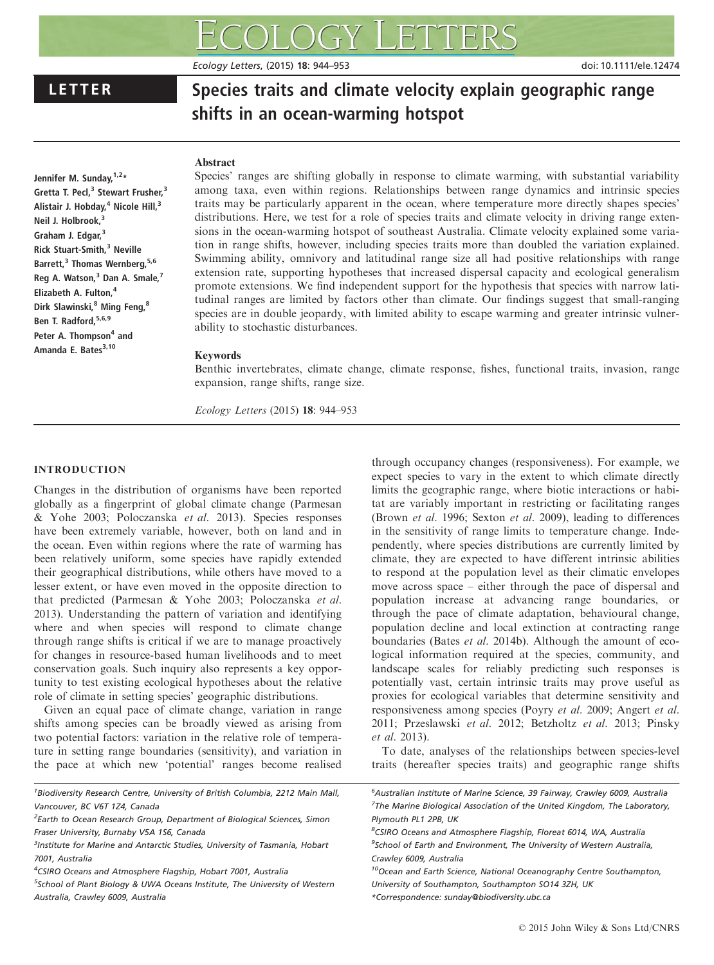# LETTER Species traits and climate velocity explain geographic range shifts in an ocean-warming hotspot

Ecology Letters, (2015) 18: 944–953 doi: 10.1111/ele.12474

#### Abstract

Jennifer M. Sunday, 1,2\* Gretta T. Pecl,<sup>3</sup> Stewart Frusher,<sup>3</sup> Alistair J. Hobday, $4$  Nicole Hill, $3$ Neil J. Holbrook,<sup>3</sup> Graham J. Edgar.<sup>3</sup> Rick Stuart-Smith,<sup>3</sup> Neville Barrett,<sup>3</sup> Thomas Wernberg, 5,6 Reg A. Watson,<sup>3</sup> Dan A. Smale,<sup>7</sup> Elizabeth A. Fulton,<sup>4</sup> Dirk Slawinski, <sup>8</sup> Ming Feng, <sup>8</sup> Ben T. Radford.<sup>5,6,9</sup> Peter A. Thompson<sup>4</sup> and Amanda E. Bates<sup>3,10</sup>

Species' ranges are shifting globally in response to climate warming, with substantial variability among taxa, even within regions. Relationships between range dynamics and intrinsic species traits may be particularly apparent in the ocean, where temperature more directly shapes species' distributions. Here, we test for a role of species traits and climate velocity in driving range extensions in the ocean-warming hotspot of southeast Australia. Climate velocity explained some variation in range shifts, however, including species traits more than doubled the variation explained. Swimming ability, omnivory and latitudinal range size all had positive relationships with range extension rate, supporting hypotheses that increased dispersal capacity and ecological generalism promote extensions. We find independent support for the hypothesis that species with narrow latitudinal ranges are limited by factors other than climate. Our findings suggest that small-ranging species are in double jeopardy, with limited ability to escape warming and greater intrinsic vulnerability to stochastic disturbances.

#### Keywords

Benthic invertebrates, climate change, climate response, fishes, functional traits, invasion, range expansion, range shifts, range size.

Ecology Letters (2015) 18: 944–953

# INTRODUCTION

Changes in the distribution of organisms have been reported globally as a fingerprint of global climate change (Parmesan & Yohe 2003; Poloczanska et al. 2013). Species responses have been extremely variable, however, both on land and in the ocean. Even within regions where the rate of warming has been relatively uniform, some species have rapidly extended their geographical distributions, while others have moved to a lesser extent, or have even moved in the opposite direction to that predicted (Parmesan & Yohe 2003; Poloczanska et al. 2013). Understanding the pattern of variation and identifying where and when species will respond to climate change through range shifts is critical if we are to manage proactively for changes in resource-based human livelihoods and to meet conservation goals. Such inquiry also represents a key opportunity to test existing ecological hypotheses about the relative role of climate in setting species' geographic distributions.

Given an equal pace of climate change, variation in range shifts among species can be broadly viewed as arising from two potential factors: variation in the relative role of temperature in setting range boundaries (sensitivity), and variation in the pace at which new 'potential' ranges become realised

<sup>1</sup> Biodiversity Research Centre, University of British Columbia, 2212 Main Mall, Vancouver, BC V6T 1Z4, Canada

<sup>3</sup>Institute for Marine and Antarctic Studies, University of Tasmania, Hobart 7001, Australia

<sup>4</sup>CSIRO Oceans and Atmosphere Flagship, Hobart 7001, Australia

<sup>5</sup>School of Plant Biology & UWA Oceans Institute, The University of Western Australia, Crawley 6009, Australia

through occupancy changes (responsiveness). For example, we expect species to vary in the extent to which climate directly limits the geographic range, where biotic interactions or habitat are variably important in restricting or facilitating ranges (Brown et al. 1996; Sexton et al. 2009), leading to differences in the sensitivity of range limits to temperature change. Independently, where species distributions are currently limited by climate, they are expected to have different intrinsic abilities to respond at the population level as their climatic envelopes move across space – either through the pace of dispersal and population increase at advancing range boundaries, or through the pace of climate adaptation, behavioural change, population decline and local extinction at contracting range boundaries (Bates et al. 2014b). Although the amount of ecological information required at the species, community, and landscape scales for reliably predicting such responses is potentially vast, certain intrinsic traits may prove useful as proxies for ecological variables that determine sensitivity and responsiveness among species (Poyry et al. 2009; Angert et al. 2011; Przeslawski et al. 2012; Betzholtz et al. 2013; Pinsky et al. 2013).

To date, analyses of the relationships between species-level traits (hereafter species traits) and geographic range shifts

<sup>&</sup>lt;sup>2</sup>Earth to Ocean Research Group, Department of Biological Sciences, Simon Fraser University, Burnaby V5A 1S6, Canada

<sup>6</sup> Australian Institute of Marine Science, 39 Fairway, Crawley 6009, Australia <sup>7</sup>The Marine Biological Association of the United Kingdom, The Laboratory, Plymouth PL1 2PB, UK

<sup>8</sup> CSIRO Oceans and Atmosphere Flagship, Floreat 6014, WA, Australia <sup>9</sup>School of Earth and Environment, The University of Western Australia, Crawley 6009, Australia

<sup>&</sup>lt;sup>10</sup>Ocean and Earth Science, National Oceanography Centre Southampton, University of Southampton, Southampton SO14 3ZH, UK

<sup>\*</sup>Correspondence: sunday@biodiversity.ubc.ca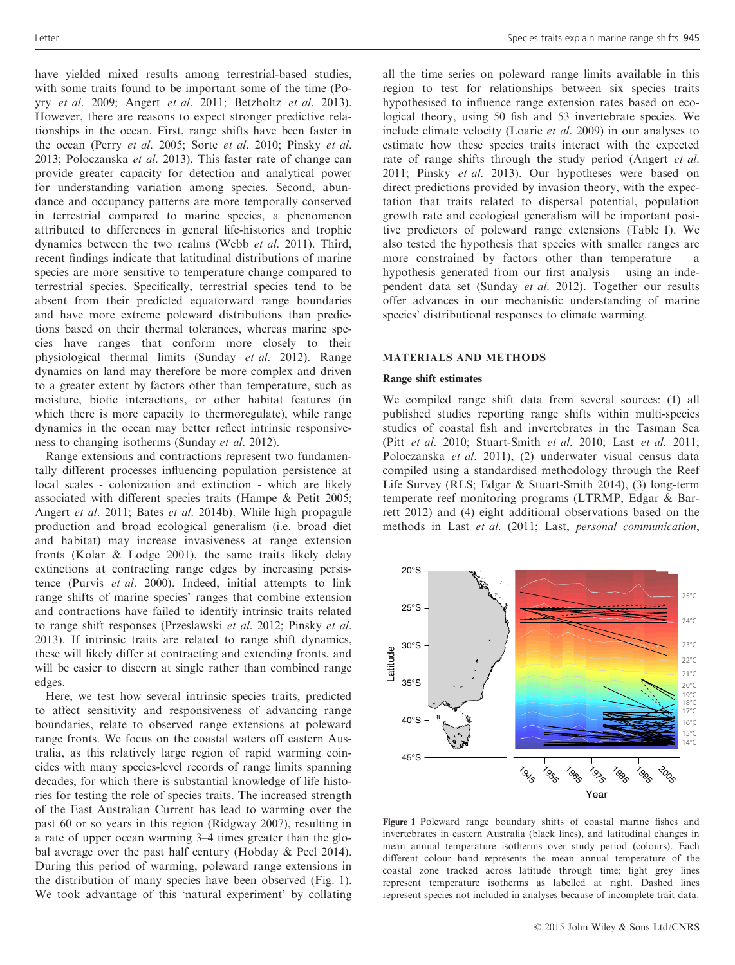have yielded mixed results among terrestrial-based studies, with some traits found to be important some of the time (Poyry et al. 2009; Angert et al. 2011; Betzholtz et al. 2013). However, there are reasons to expect stronger predictive relationships in the ocean. First, range shifts have been faster in the ocean (Perry et al. 2005; Sorte et al. 2010; Pinsky et al. 2013; Poloczanska et al. 2013). This faster rate of change can provide greater capacity for detection and analytical power for understanding variation among species. Second, abundance and occupancy patterns are more temporally conserved in terrestrial compared to marine species, a phenomenon attributed to differences in general life-histories and trophic dynamics between the two realms (Webb et al. 2011). Third, recent findings indicate that latitudinal distributions of marine species are more sensitive to temperature change compared to terrestrial species. Specifically, terrestrial species tend to be absent from their predicted equatorward range boundaries and have more extreme poleward distributions than predictions based on their thermal tolerances, whereas marine species have ranges that conform more closely to their physiological thermal limits (Sunday et al. 2012). Range dynamics on land may therefore be more complex and driven to a greater extent by factors other than temperature, such as moisture, biotic interactions, or other habitat features (in which there is more capacity to thermoregulate), while range dynamics in the ocean may better reflect intrinsic responsiveness to changing isotherms (Sunday et al. 2012).

Range extensions and contractions represent two fundamentally different processes influencing population persistence at local scales - colonization and extinction - which are likely associated with different species traits (Hampe & Petit 2005; Angert et al. 2011; Bates et al. 2014b). While high propagule production and broad ecological generalism (i.e. broad diet and habitat) may increase invasiveness at range extension fronts (Kolar & Lodge 2001), the same traits likely delay extinctions at contracting range edges by increasing persistence (Purvis et al. 2000). Indeed, initial attempts to link range shifts of marine species' ranges that combine extension and contractions have failed to identify intrinsic traits related to range shift responses (Przeslawski et al. 2012; Pinsky et al. 2013). If intrinsic traits are related to range shift dynamics, these will likely differ at contracting and extending fronts, and will be easier to discern at single rather than combined range edges.

Here, we test how several intrinsic species traits, predicted to affect sensitivity and responsiveness of advancing range boundaries, relate to observed range extensions at poleward range fronts. We focus on the coastal waters off eastern Australia, as this relatively large region of rapid warming coincides with many species-level records of range limits spanning decades, for which there is substantial knowledge of life histories for testing the role of species traits. The increased strength of the East Australian Current has lead to warming over the past 60 or so years in this region (Ridgway 2007), resulting in a rate of upper ocean warming 3–4 times greater than the global average over the past half century (Hobday & Pecl 2014). During this period of warming, poleward range extensions in the distribution of many species have been observed (Fig. 1). We took advantage of this 'natural experiment' by collating all the time series on poleward range limits available in this region to test for relationships between six species traits hypothesised to influence range extension rates based on ecological theory, using 50 fish and 53 invertebrate species. We include climate velocity (Loarie et al. 2009) in our analyses to estimate how these species traits interact with the expected rate of range shifts through the study period (Angert et al. 2011; Pinsky et al. 2013). Our hypotheses were based on direct predictions provided by invasion theory, with the expectation that traits related to dispersal potential, population growth rate and ecological generalism will be important positive predictors of poleward range extensions (Table 1). We also tested the hypothesis that species with smaller ranges are more constrained by factors other than temperature – a hypothesis generated from our first analysis – using an independent data set (Sunday et al. 2012). Together our results offer advances in our mechanistic understanding of marine species' distributional responses to climate warming.

### MATERIALS AND METHODS

#### Range shift estimates

We compiled range shift data from several sources: (1) all published studies reporting range shifts within multi-species studies of coastal fish and invertebrates in the Tasman Sea (Pitt et al. 2010; Stuart-Smith et al. 2010; Last et al. 2011; Poloczanska et al. 2011), (2) underwater visual census data compiled using a standardised methodology through the Reef Life Survey (RLS; Edgar & Stuart-Smith 2014), (3) long-term temperate reef monitoring programs (LTRMP, Edgar & Barrett 2012) and (4) eight additional observations based on the methods in Last et al. (2011; Last, personal communication,



Figure 1 Poleward range boundary shifts of coastal marine fishes and invertebrates in eastern Australia (black lines), and latitudinal changes in mean annual temperature isotherms over study period (colours). Each different colour band represents the mean annual temperature of the coastal zone tracked across latitude through time; light grey lines represent temperature isotherms as labelled at right. Dashed lines represent species not included in analyses because of incomplete trait data.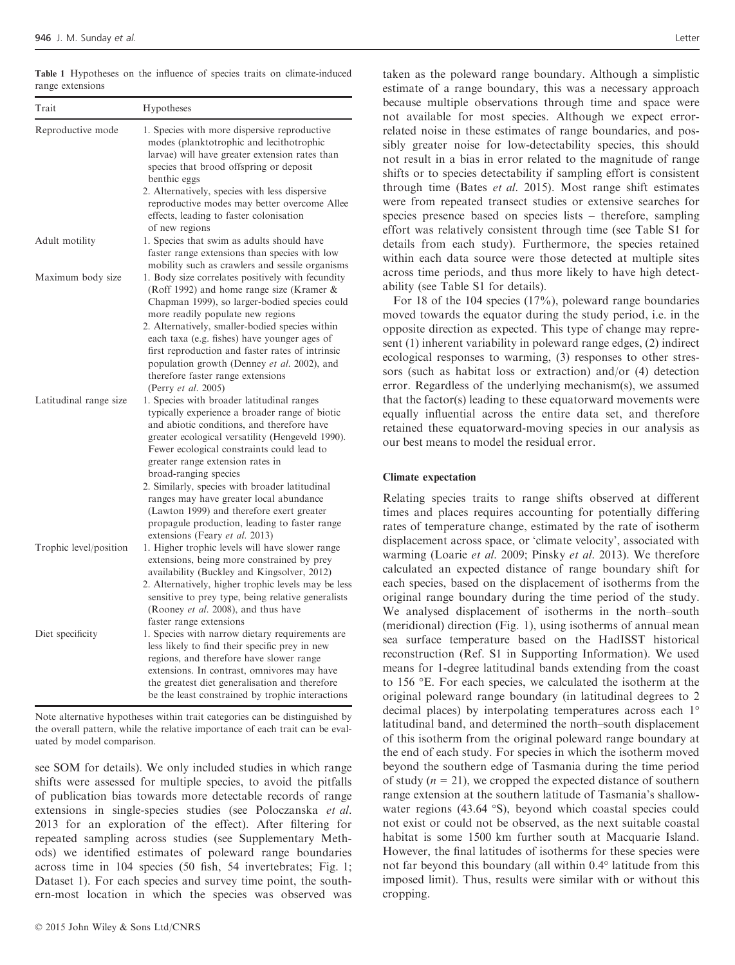| Trait                  | Hypotheses                                                                                                                                                                                                                                                                                                |  |  |  |  |
|------------------------|-----------------------------------------------------------------------------------------------------------------------------------------------------------------------------------------------------------------------------------------------------------------------------------------------------------|--|--|--|--|
| Reproductive mode      | 1. Species with more dispersive reproductive<br>modes (planktotrophic and lecithotrophic<br>larvae) will have greater extension rates than<br>species that brood offspring or deposit<br>benthic eggs<br>2. Alternatively, species with less dispersive<br>reproductive modes may better overcome Allee   |  |  |  |  |
|                        | effects, leading to faster colonisation<br>of new regions                                                                                                                                                                                                                                                 |  |  |  |  |
| Adult motility         | 1. Species that swim as adults should have<br>faster range extensions than species with low<br>mobility such as crawlers and sessile organisms                                                                                                                                                            |  |  |  |  |
| Maximum body size      | 1. Body size correlates positively with fecundity<br>(Roff 1992) and home range size (Kramer &<br>Chapman 1999), so larger-bodied species could<br>more readily populate new regions<br>2. Alternatively, smaller-bodied species within                                                                   |  |  |  |  |
|                        | each taxa (e.g. fishes) have younger ages of<br>first reproduction and faster rates of intrinsic<br>population growth (Denney et al. 2002), and<br>therefore faster range extensions<br>(Perry et al. 2005)                                                                                               |  |  |  |  |
| Latitudinal range size | 1. Species with broader latitudinal ranges<br>typically experience a broader range of biotic<br>and abiotic conditions, and therefore have<br>greater ecological versatility (Hengeveld 1990).<br>Fewer ecological constraints could lead to<br>greater range extension rates in<br>broad-ranging species |  |  |  |  |
|                        | 2. Similarly, species with broader latitudinal<br>ranges may have greater local abundance<br>(Lawton 1999) and therefore exert greater<br>propagule production, leading to faster range<br>extensions (Feary et al. 2013)                                                                                 |  |  |  |  |
| Trophic level/position | 1. Higher trophic levels will have slower range<br>extensions, being more constrained by prey<br>availability (Buckley and Kingsolver, 2012)                                                                                                                                                              |  |  |  |  |
|                        | 2. Alternatively, higher trophic levels may be less<br>sensitive to prey type, being relative generalists<br>(Rooney et al. 2008), and thus have<br>faster range extensions                                                                                                                               |  |  |  |  |
| Diet specificity       | 1. Species with narrow dietary requirements are<br>less likely to find their specific prey in new<br>regions, and therefore have slower range<br>extensions. In contrast, omnivores may have<br>the greatest diet generalisation and therefore<br>be the least constrained by trophic interactions        |  |  |  |  |

Note alternative hypotheses within trait categories can be distinguished by the overall pattern, while the relative importance of each trait can be evaluated by model comparison.

see SOM for details). We only included studies in which range shifts were assessed for multiple species, to avoid the pitfalls of publication bias towards more detectable records of range extensions in single-species studies (see Poloczanska et al. 2013 for an exploration of the effect). After filtering for repeated sampling across studies (see Supplementary Methods) we identified estimates of poleward range boundaries across time in 104 species (50 fish, 54 invertebrates; Fig. 1; Dataset 1). For each species and survey time point, the southern-most location in which the species was observed was

taken as the poleward range boundary. Although a simplistic estimate of a range boundary, this was a necessary approach because multiple observations through time and space were not available for most species. Although we expect errorrelated noise in these estimates of range boundaries, and possibly greater noise for low-detectability species, this should not result in a bias in error related to the magnitude of range shifts or to species detectability if sampling effort is consistent through time (Bates et al. 2015). Most range shift estimates were from repeated transect studies or extensive searches for species presence based on species lists – therefore, sampling effort was relatively consistent through time (see Table S1 for details from each study). Furthermore, the species retained within each data source were those detected at multiple sites across time periods, and thus more likely to have high detectability (see Table S1 for details).

For 18 of the 104 species (17%), poleward range boundaries moved towards the equator during the study period, i.e. in the opposite direction as expected. This type of change may represent (1) inherent variability in poleward range edges, (2) indirect ecological responses to warming, (3) responses to other stressors (such as habitat loss or extraction) and/or (4) detection error. Regardless of the underlying mechanism(s), we assumed that the factor(s) leading to these equatorward movements were equally influential across the entire data set, and therefore retained these equatorward-moving species in our analysis as our best means to model the residual error.

#### Climate expectation

Relating species traits to range shifts observed at different times and places requires accounting for potentially differing rates of temperature change, estimated by the rate of isotherm displacement across space, or 'climate velocity', associated with warming (Loarie et al. 2009; Pinsky et al. 2013). We therefore calculated an expected distance of range boundary shift for each species, based on the displacement of isotherms from the original range boundary during the time period of the study. We analysed displacement of isotherms in the north–south (meridional) direction (Fig. 1), using isotherms of annual mean sea surface temperature based on the HadISST historical reconstruction (Ref. S1 in Supporting Information). We used means for 1-degree latitudinal bands extending from the coast to 156 °E. For each species, we calculated the isotherm at the original poleward range boundary (in latitudinal degrees to 2 decimal places) by interpolating temperatures across each 1° latitudinal band, and determined the north–south displacement of this isotherm from the original poleward range boundary at the end of each study. For species in which the isotherm moved beyond the southern edge of Tasmania during the time period of study  $(n = 21)$ , we cropped the expected distance of southern range extension at the southern latitude of Tasmania's shallowwater regions (43.64 °S), beyond which coastal species could not exist or could not be observed, as the next suitable coastal habitat is some 1500 km further south at Macquarie Island. However, the final latitudes of isotherms for these species were not far beyond this boundary (all within 0.4° latitude from this imposed limit). Thus, results were similar with or without this cropping.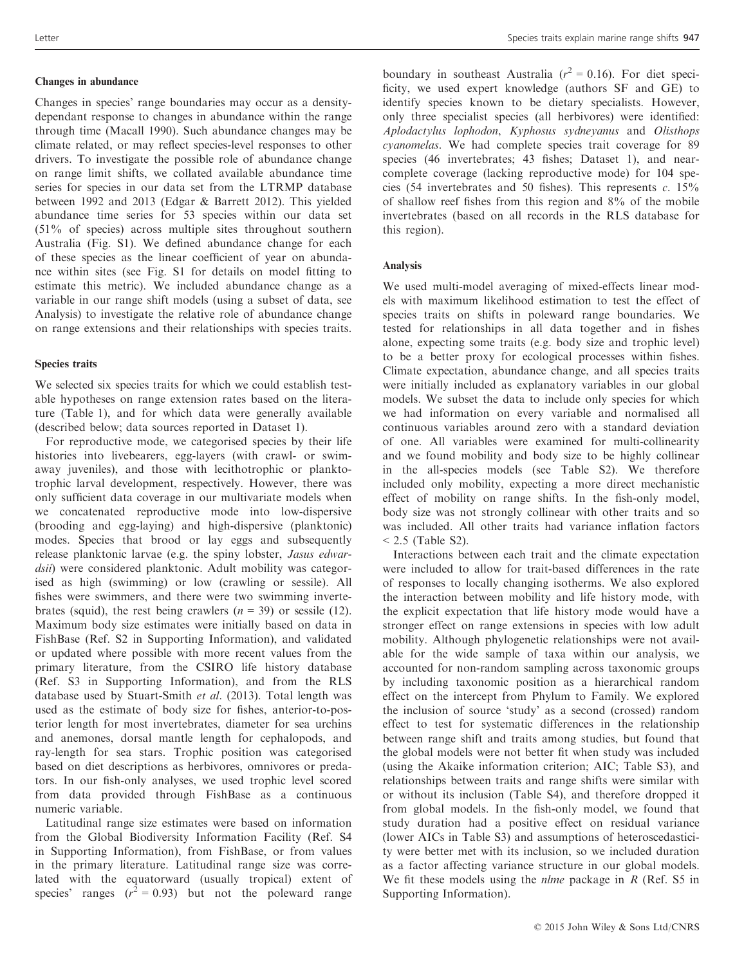# Changes in abundance

Changes in species' range boundaries may occur as a densitydependant response to changes in abundance within the range through time (Macall 1990). Such abundance changes may be climate related, or may reflect species-level responses to other drivers. To investigate the possible role of abundance change on range limit shifts, we collated available abundance time series for species in our data set from the LTRMP database between 1992 and 2013 (Edgar & Barrett 2012). This yielded abundance time series for 53 species within our data set (51% of species) across multiple sites throughout southern Australia (Fig. S1). We defined abundance change for each of these species as the linear coefficient of year on abundance within sites (see Fig. S1 for details on model fitting to estimate this metric). We included abundance change as a variable in our range shift models (using a subset of data, see Analysis) to investigate the relative role of abundance change on range extensions and their relationships with species traits.

# Species traits

We selected six species traits for which we could establish testable hypotheses on range extension rates based on the literature (Table 1), and for which data were generally available (described below; data sources reported in Dataset 1).

For reproductive mode, we categorised species by their life histories into livebearers, egg-layers (with crawl- or swimaway juveniles), and those with lecithotrophic or planktotrophic larval development, respectively. However, there was only sufficient data coverage in our multivariate models when we concatenated reproductive mode into low-dispersive (brooding and egg-laying) and high-dispersive (planktonic) modes. Species that brood or lay eggs and subsequently release planktonic larvae (e.g. the spiny lobster, Jasus edwardsii) were considered planktonic. Adult mobility was categorised as high (swimming) or low (crawling or sessile). All fishes were swimmers, and there were two swimming invertebrates (squid), the rest being crawlers  $(n = 39)$  or sessile (12). Maximum body size estimates were initially based on data in FishBase (Ref. S2 in Supporting Information), and validated or updated where possible with more recent values from the primary literature, from the CSIRO life history database (Ref. S3 in Supporting Information), and from the RLS database used by Stuart-Smith et al. (2013). Total length was used as the estimate of body size for fishes, anterior-to-posterior length for most invertebrates, diameter for sea urchins and anemones, dorsal mantle length for cephalopods, and ray-length for sea stars. Trophic position was categorised based on diet descriptions as herbivores, omnivores or predators. In our fish-only analyses, we used trophic level scored from data provided through FishBase as a continuous numeric variable.

Latitudinal range size estimates were based on information from the Global Biodiversity Information Facility (Ref. S4 in Supporting Information), from FishBase, or from values in the primary literature. Latitudinal range size was correlated with the equatorward (usually tropical) extent of species' ranges ( $r^2 = 0.93$ ) but not the poleward range

boundary in southeast Australia ( $r^2 = 0.16$ ). For diet specificity, we used expert knowledge (authors SF and GE) to identify species known to be dietary specialists. However, only three specialist species (all herbivores) were identified: Aplodactylus lophodon, Kyphosus sydneyanus and Olisthops cyanomelas. We had complete species trait coverage for 89 species (46 invertebrates; 43 fishes; Dataset 1), and nearcomplete coverage (lacking reproductive mode) for 104 species (54 invertebrates and 50 fishes). This represents  $c$ . 15% of shallow reef fishes from this region and 8% of the mobile invertebrates (based on all records in the RLS database for this region).

#### Analysis

We used multi-model averaging of mixed-effects linear models with maximum likelihood estimation to test the effect of species traits on shifts in poleward range boundaries. We tested for relationships in all data together and in fishes alone, expecting some traits (e.g. body size and trophic level) to be a better proxy for ecological processes within fishes. Climate expectation, abundance change, and all species traits were initially included as explanatory variables in our global models. We subset the data to include only species for which we had information on every variable and normalised all continuous variables around zero with a standard deviation of one. All variables were examined for multi-collinearity and we found mobility and body size to be highly collinear in the all-species models (see Table S2). We therefore included only mobility, expecting a more direct mechanistic effect of mobility on range shifts. In the fish-only model, body size was not strongly collinear with other traits and so was included. All other traits had variance inflation factors  $< 2.5$  (Table S2).

Interactions between each trait and the climate expectation were included to allow for trait-based differences in the rate of responses to locally changing isotherms. We also explored the interaction between mobility and life history mode, with the explicit expectation that life history mode would have a stronger effect on range extensions in species with low adult mobility. Although phylogenetic relationships were not available for the wide sample of taxa within our analysis, we accounted for non-random sampling across taxonomic groups by including taxonomic position as a hierarchical random effect on the intercept from Phylum to Family. We explored the inclusion of source 'study' as a second (crossed) random effect to test for systematic differences in the relationship between range shift and traits among studies, but found that the global models were not better fit when study was included (using the Akaike information criterion; AIC; Table S3), and relationships between traits and range shifts were similar with or without its inclusion (Table S4), and therefore dropped it from global models. In the fish-only model, we found that study duration had a positive effect on residual variance (lower AICs in Table S3) and assumptions of heteroscedasticity were better met with its inclusion, so we included duration as a factor affecting variance structure in our global models. We fit these models using the *nlme* package in  $R$  (Ref. S5 in Supporting Information).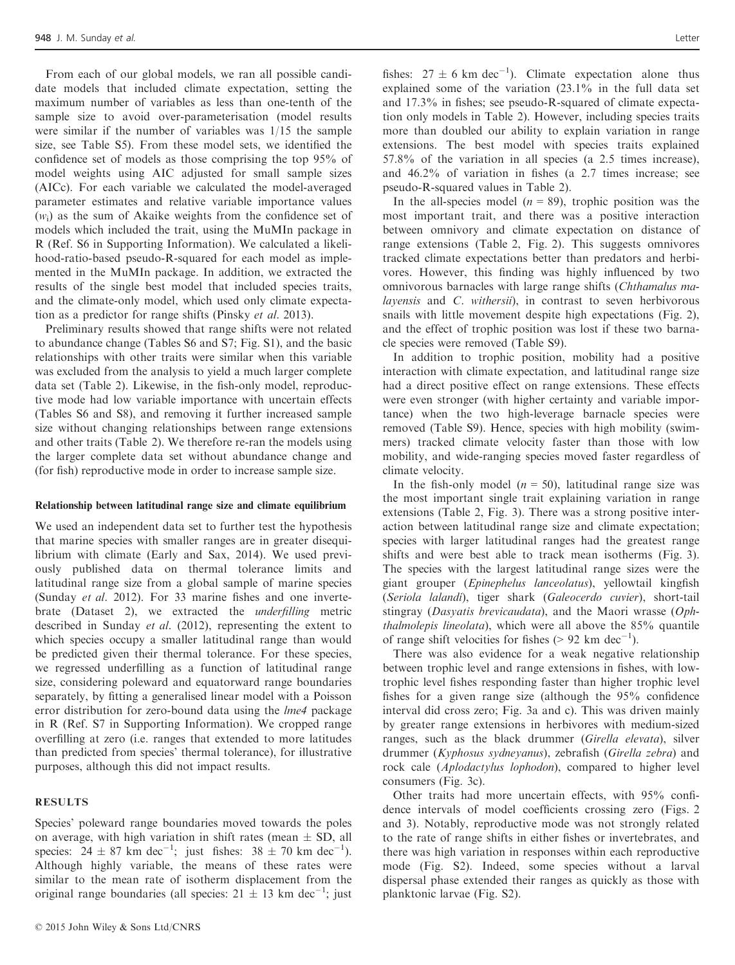From each of our global models, we ran all possible candidate models that included climate expectation, setting the maximum number of variables as less than one-tenth of the sample size to avoid over-parameterisation (model results were similar if the number of variables was 1/15 the sample size, see Table S5). From these model sets, we identified the confidence set of models as those comprising the top 95% of model weights using AIC adjusted for small sample sizes (AICc). For each variable we calculated the model-averaged parameter estimates and relative variable importance values  $(w<sub>i</sub>)$  as the sum of Akaike weights from the confidence set of models which included the trait, using the MuMIn package in R (Ref. S6 in Supporting Information). We calculated a likelihood-ratio-based pseudo-R-squared for each model as implemented in the MuMIn package. In addition, we extracted the results of the single best model that included species traits, and the climate-only model, which used only climate expectation as a predictor for range shifts (Pinsky et al. 2013).

Preliminary results showed that range shifts were not related to abundance change (Tables S6 and S7; Fig. S1), and the basic relationships with other traits were similar when this variable was excluded from the analysis to yield a much larger complete data set (Table 2). Likewise, in the fish-only model, reproductive mode had low variable importance with uncertain effects (Tables S6 and S8), and removing it further increased sample size without changing relationships between range extensions and other traits (Table 2). We therefore re-ran the models using the larger complete data set without abundance change and (for fish) reproductive mode in order to increase sample size.

#### Relationship between latitudinal range size and climate equilibrium

We used an independent data set to further test the hypothesis that marine species with smaller ranges are in greater disequilibrium with climate (Early and Sax, 2014). We used previously published data on thermal tolerance limits and latitudinal range size from a global sample of marine species (Sunday et al. 2012). For 33 marine fishes and one invertebrate (Dataset 2), we extracted the underfilling metric described in Sunday et al. (2012), representing the extent to which species occupy a smaller latitudinal range than would be predicted given their thermal tolerance. For these species, we regressed underfilling as a function of latitudinal range size, considering poleward and equatorward range boundaries separately, by fitting a generalised linear model with a Poisson error distribution for zero-bound data using the lme4 package in R (Ref. S7 in Supporting Information). We cropped range overfilling at zero (i.e. ranges that extended to more latitudes than predicted from species' thermal tolerance), for illustrative purposes, although this did not impact results.

# RESULTS

Species' poleward range boundaries moved towards the poles on average, with high variation in shift rates (mean  $\pm$  SD, all species:  $24 \pm 87$  km dec<sup>-1</sup>; just fishes:  $38 \pm 70$  km dec<sup>-1</sup>). Although highly variable, the means of these rates were similar to the mean rate of isotherm displacement from the original range boundaries (all species:  $21 \pm 13$  km dec<sup>-1</sup>; just

fishes:  $27 \pm 6$  km dec<sup>-1</sup>). Climate expectation alone thus explained some of the variation  $(23.1\%$  in the full data set and 17.3% in fishes; see pseudo-R-squared of climate expectation only models in Table 2). However, including species traits more than doubled our ability to explain variation in range extensions. The best model with species traits explained 57.8% of the variation in all species (a 2.5 times increase), and 46.2% of variation in fishes (a 2.7 times increase; see pseudo-R-squared values in Table 2).

In the all-species model  $(n = 89)$ , trophic position was the most important trait, and there was a positive interaction between omnivory and climate expectation on distance of range extensions (Table 2, Fig. 2). This suggests omnivores tracked climate expectations better than predators and herbivores. However, this finding was highly influenced by two omnivorous barnacles with large range shifts (Chthamalus malayensis and C. withersii), in contrast to seven herbivorous snails with little movement despite high expectations (Fig. 2), and the effect of trophic position was lost if these two barnacle species were removed (Table S9).

In addition to trophic position, mobility had a positive interaction with climate expectation, and latitudinal range size had a direct positive effect on range extensions. These effects were even stronger (with higher certainty and variable importance) when the two high-leverage barnacle species were removed (Table S9). Hence, species with high mobility (swimmers) tracked climate velocity faster than those with low mobility, and wide-ranging species moved faster regardless of climate velocity.

In the fish-only model  $(n = 50)$ , latitudinal range size was the most important single trait explaining variation in range extensions (Table 2, Fig. 3). There was a strong positive interaction between latitudinal range size and climate expectation; species with larger latitudinal ranges had the greatest range shifts and were best able to track mean isotherms (Fig. 3). The species with the largest latitudinal range sizes were the giant grouper (Epinephelus lanceolatus), yellowtail kingfish (Seriola lalandi), tiger shark (Galeocerdo cuvier), short-tail stingray (Dasyatis brevicaudata), and the Maori wrasse (Ophthalmolepis lineolata), which were all above the 85% quantile of range shift velocities for fishes ( $> 92$  km dec<sup>-1</sup>).

There was also evidence for a weak negative relationship between trophic level and range extensions in fishes, with lowtrophic level fishes responding faster than higher trophic level fishes for a given range size (although the 95% confidence interval did cross zero; Fig. 3a and c). This was driven mainly by greater range extensions in herbivores with medium-sized ranges, such as the black drummer (Girella elevata), silver drummer (Kyphosus sydneyanus), zebrafish (Girella zebra) and rock cale (Aplodactylus lophodon), compared to higher level consumers (Fig. 3c).

Other traits had more uncertain effects, with 95% confidence intervals of model coefficients crossing zero (Figs. 2 and 3). Notably, reproductive mode was not strongly related to the rate of range shifts in either fishes or invertebrates, and there was high variation in responses within each reproductive mode (Fig. S2). Indeed, some species without a larval dispersal phase extended their ranges as quickly as those with planktonic larvae (Fig. S2).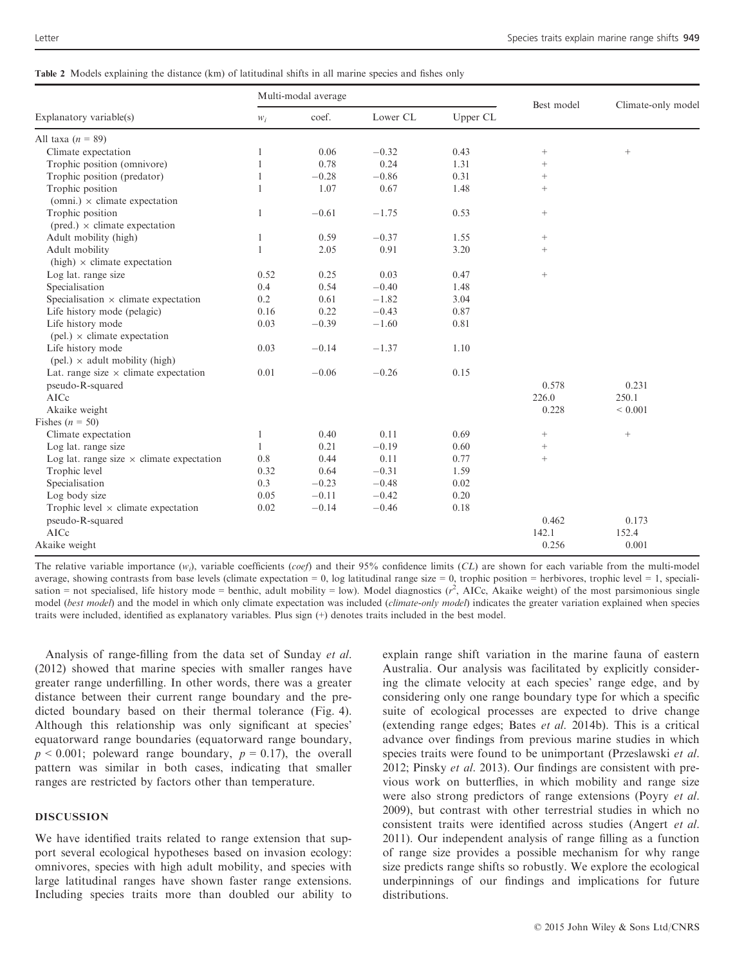| Table 2 Models explaining the distance (km) of latitudinal shifts in all marine species and fishes only |  |  |  |
|---------------------------------------------------------------------------------------------------------|--|--|--|
|---------------------------------------------------------------------------------------------------------|--|--|--|

| Explanatory variable(s)                             | Multi-modal average |         |          |          |                 |                    |
|-----------------------------------------------------|---------------------|---------|----------|----------|-----------------|--------------------|
|                                                     | $W_i$               | coef.   | Lower CL | Upper CL | Best model      | Climate-only model |
| All taxa $(n = 89)$                                 |                     |         |          |          |                 |                    |
| Climate expectation                                 | 1                   | 0.06    | $-0.32$  | 0.43     | $^{+}$          | $^{+}$             |
| Trophic position (omnivore)                         | 1                   | 0.78    | 0.24     | 1.31     | $^{+}$          |                    |
| Trophic position (predator)                         | 1                   | $-0.28$ | $-0.86$  | 0.31     | $^{+}$          |                    |
| Trophic position                                    | 1                   | 1.07    | 0.67     | 1.48     | $^{+}$          |                    |
| (omni.) $\times$ climate expectation                |                     |         |          |          |                 |                    |
| Trophic position                                    | 1                   | $-0.61$ | $-1.75$  | 0.53     | $+$             |                    |
| $(pred.) \times climate expectation$                |                     |         |          |          |                 |                    |
| Adult mobility (high)                               | 1                   | 0.59    | $-0.37$  | 1.55     | $\! + \!\!\!\!$ |                    |
| Adult mobility                                      | 1                   | 2.05    | 0.91     | 3.20     | $^{+}$          |                    |
| $(high) \times$ climate expectation                 |                     |         |          |          |                 |                    |
| Log lat. range size                                 | 0.52                | 0.25    | 0.03     | 0.47     | $^+$            |                    |
| Specialisation                                      | 0.4                 | 0.54    | $-0.40$  | 1.48     |                 |                    |
| Specialisation $\times$ climate expectation         | 0.2                 | 0.61    | $-1.82$  | 3.04     |                 |                    |
| Life history mode (pelagic)                         | 0.16                | 0.22    | $-0.43$  | 0.87     |                 |                    |
| Life history mode                                   | 0.03                | $-0.39$ | $-1.60$  | 0.81     |                 |                    |
| $(\text{pel.}) \times$ climate expectation          |                     |         |          |          |                 |                    |
| Life history mode                                   | 0.03                | $-0.14$ | $-1.37$  | 1.10     |                 |                    |
| $(\text{pel.}) \times \text{adult mobility (high)}$ |                     |         |          |          |                 |                    |
| Lat. range size $\times$ climate expectation        | 0.01                | $-0.06$ | $-0.26$  | 0.15     |                 |                    |
| pseudo-R-squared                                    |                     |         |          |          | 0.578           | 0.231              |
| AICc                                                |                     |         |          |          | 226.0           | 250.1              |
| Akaike weight                                       |                     |         |          |          | 0.228           | ${}< 0.001$        |
| Fishes $(n = 50)$                                   |                     |         |          |          |                 |                    |
| Climate expectation                                 | $\mathbf{1}$        | 0.40    | 0.11     | 0.69     | $\! + \!\!\!\!$ | $^+$               |
| Log lat. range size                                 | 1                   | 0.21    | $-0.19$  | 0.60     | $\! + \!\!\!\!$ |                    |
| Log lat. range size $\times$ climate expectation    | 0.8                 | 0.44    | 0.11     | 0.77     | $^{+}$          |                    |
| Trophic level                                       | 0.32                | 0.64    | $-0.31$  | 1.59     |                 |                    |
| Specialisation                                      | 0.3                 | $-0.23$ | $-0.48$  | 0.02     |                 |                    |
| Log body size                                       | 0.05                | $-0.11$ | $-0.42$  | 0.20     |                 |                    |
| Trophic level $\times$ climate expectation          | 0.02                | $-0.14$ | $-0.46$  | 0.18     |                 |                    |
| pseudo-R-squared                                    |                     |         |          |          | 0.462           | 0.173              |
| AICc                                                |                     |         |          |          | 142.1           | 152.4              |
| Akaike weight                                       |                     |         |          |          | 0.256           | 0.001              |

The relative variable importance  $(w_i)$ , variable coefficients (coef) and their 95% confidence limits (CL) are shown for each variable from the multi-model average, showing contrasts from base levels (climate expectation = 0, log latitudinal range size = 0, trophic position = herbivores, trophic level = 1, specialisation = not specialised, life history mode = benthic, adult mobility = low). Model diagnostics  $(r^2)$ , AICc, Akaike weight) of the most parsimonious single model (best model) and the model in which only climate expectation was included (climate-only model) indicates the greater variation explained when species traits were included, identified as explanatory variables. Plus sign (+) denotes traits included in the best model.

Analysis of range-filling from the data set of Sunday et al. (2012) showed that marine species with smaller ranges have greater range underfilling. In other words, there was a greater distance between their current range boundary and the predicted boundary based on their thermal tolerance (Fig. 4). Although this relationship was only significant at species' equatorward range boundaries (equatorward range boundary,  $p < 0.001$ ; poleward range boundary,  $p = 0.17$ ), the overall pattern was similar in both cases, indicating that smaller ranges are restricted by factors other than temperature.

## DISCUSSION

We have identified traits related to range extension that support several ecological hypotheses based on invasion ecology: omnivores, species with high adult mobility, and species with large latitudinal ranges have shown faster range extensions. Including species traits more than doubled our ability to

explain range shift variation in the marine fauna of eastern Australia. Our analysis was facilitated by explicitly considering the climate velocity at each species' range edge, and by considering only one range boundary type for which a specific suite of ecological processes are expected to drive change (extending range edges; Bates et al. 2014b). This is a critical advance over findings from previous marine studies in which species traits were found to be unimportant (Przeslawski et al. 2012; Pinsky et al. 2013). Our findings are consistent with previous work on butterflies, in which mobility and range size were also strong predictors of range extensions (Poyry et al. 2009), but contrast with other terrestrial studies in which no consistent traits were identified across studies (Angert et al. 2011). Our independent analysis of range filling as a function of range size provides a possible mechanism for why range size predicts range shifts so robustly. We explore the ecological underpinnings of our findings and implications for future distributions.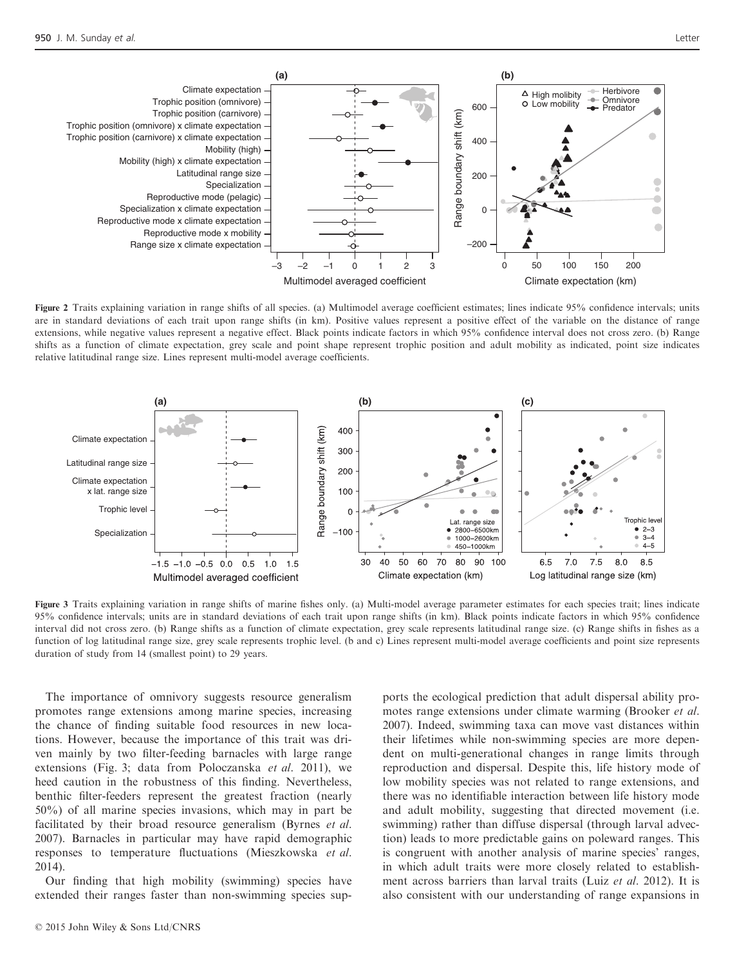

Figure 2 Traits explaining variation in range shifts of all species. (a) Multimodel average coefficient estimates; lines indicate 95% confidence intervals; units are in standard deviations of each trait upon range shifts (in km). Positive values represent a positive effect of the variable on the distance of range extensions, while negative values represent a negative effect. Black points indicate factors in which 95% confidence interval does not cross zero. (b) Range shifts as a function of climate expectation, grey scale and point shape represent trophic position and adult mobility as indicated, point size indicates relative latitudinal range size. Lines represent multi-model average coefficients.



Figure 3 Traits explaining variation in range shifts of marine fishes only. (a) Multi-model average parameter estimates for each species trait; lines indicate 95% confidence intervals; units are in standard deviations of each trait upon range shifts (in km). Black points indicate factors in which 95% confidence interval did not cross zero. (b) Range shifts as a function of climate expectation, grey scale represents latitudinal range size. (c) Range shifts in fishes as a function of log latitudinal range size, grey scale represents trophic level. (b and c) Lines represent multi-model average coefficients and point size represents duration of study from 14 (smallest point) to 29 years.

The importance of omnivory suggests resource generalism promotes range extensions among marine species, increasing the chance of finding suitable food resources in new locations. However, because the importance of this trait was driven mainly by two filter-feeding barnacles with large range extensions (Fig. 3; data from Poloczanska et al. 2011), we heed caution in the robustness of this finding. Nevertheless, benthic filter-feeders represent the greatest fraction (nearly 50%) of all marine species invasions, which may in part be facilitated by their broad resource generalism (Byrnes et al. 2007). Barnacles in particular may have rapid demographic responses to temperature fluctuations (Mieszkowska et al. 2014).

Our finding that high mobility (swimming) species have extended their ranges faster than non-swimming species supports the ecological prediction that adult dispersal ability promotes range extensions under climate warming (Brooker *et al.*) 2007). Indeed, swimming taxa can move vast distances within their lifetimes while non-swimming species are more dependent on multi-generational changes in range limits through reproduction and dispersal. Despite this, life history mode of low mobility species was not related to range extensions, and there was no identifiable interaction between life history mode and adult mobility, suggesting that directed movement (i.e. swimming) rather than diffuse dispersal (through larval advection) leads to more predictable gains on poleward ranges. This is congruent with another analysis of marine species' ranges, in which adult traits were more closely related to establishment across barriers than larval traits (Luiz et al. 2012). It is also consistent with our understanding of range expansions in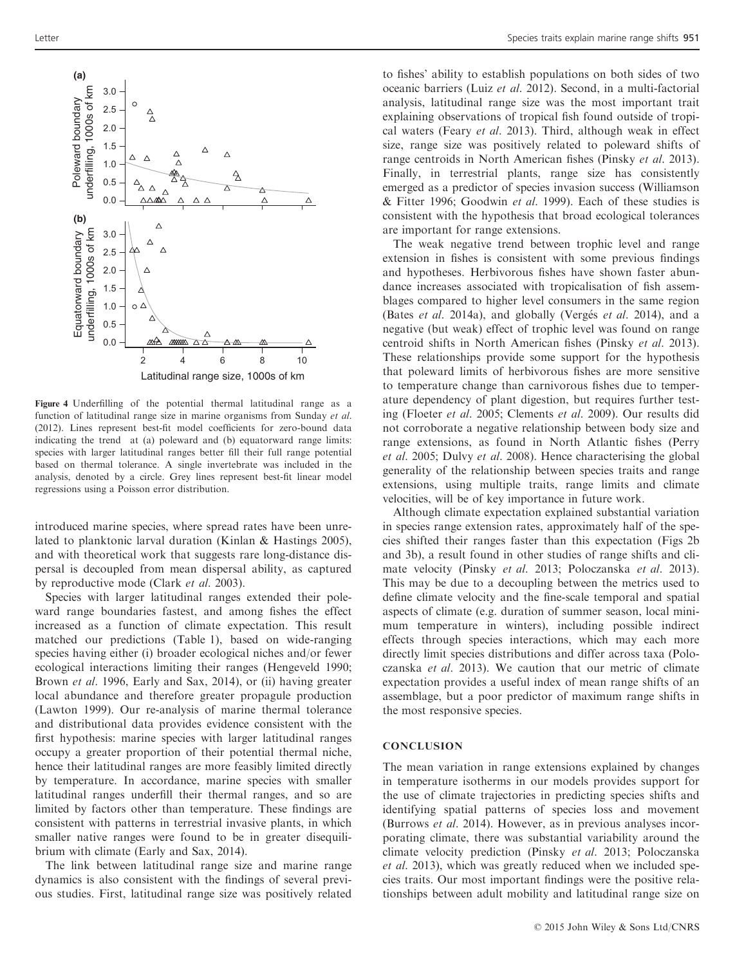

Figure 4 Underfilling of the potential thermal latitudinal range as a function of latitudinal range size in marine organisms from Sunday et al. (2012). Lines represent best-fit model coefficients for zero-bound data indicating the trend at (a) poleward and (b) equatorward range limits: species with larger latitudinal ranges better fill their full range potential based on thermal tolerance. A single invertebrate was included in the analysis, denoted by a circle. Grey lines represent best-fit linear model regressions using a Poisson error distribution.

introduced marine species, where spread rates have been unrelated to planktonic larval duration (Kinlan & Hastings 2005), and with theoretical work that suggests rare long-distance dispersal is decoupled from mean dispersal ability, as captured by reproductive mode (Clark et al. 2003).

Species with larger latitudinal ranges extended their poleward range boundaries fastest, and among fishes the effect increased as a function of climate expectation. This result matched our predictions (Table 1), based on wide-ranging species having either (i) broader ecological niches and/or fewer ecological interactions limiting their ranges (Hengeveld 1990; Brown *et al.* 1996, Early and Sax, 2014), or (ii) having greater local abundance and therefore greater propagule production (Lawton 1999). Our re-analysis of marine thermal tolerance and distributional data provides evidence consistent with the first hypothesis: marine species with larger latitudinal ranges occupy a greater proportion of their potential thermal niche, hence their latitudinal ranges are more feasibly limited directly by temperature. In accordance, marine species with smaller latitudinal ranges underfill their thermal ranges, and so are limited by factors other than temperature. These findings are consistent with patterns in terrestrial invasive plants, in which smaller native ranges were found to be in greater disequilibrium with climate (Early and Sax, 2014).

The link between latitudinal range size and marine range dynamics is also consistent with the findings of several previous studies. First, latitudinal range size was positively related

to fishes' ability to establish populations on both sides of two oceanic barriers (Luiz et al. 2012). Second, in a multi-factorial analysis, latitudinal range size was the most important trait explaining observations of tropical fish found outside of tropical waters (Feary et al. 2013). Third, although weak in effect size, range size was positively related to poleward shifts of range centroids in North American fishes (Pinsky et al. 2013). Finally, in terrestrial plants, range size has consistently emerged as a predictor of species invasion success (Williamson & Fitter 1996; Goodwin et al. 1999). Each of these studies is consistent with the hypothesis that broad ecological tolerances are important for range extensions.

The weak negative trend between trophic level and range extension in fishes is consistent with some previous findings and hypotheses. Herbivorous fishes have shown faster abundance increases associated with tropicalisation of fish assemblages compared to higher level consumers in the same region (Bates et al. 2014a), and globally (Vergés et al. 2014), and a negative (but weak) effect of trophic level was found on range centroid shifts in North American fishes (Pinsky et al. 2013). These relationships provide some support for the hypothesis that poleward limits of herbivorous fishes are more sensitive to temperature change than carnivorous fishes due to temperature dependency of plant digestion, but requires further testing (Floeter et al. 2005; Clements et al. 2009). Our results did not corroborate a negative relationship between body size and range extensions, as found in North Atlantic fishes (Perry et al. 2005; Dulvy et al. 2008). Hence characterising the global generality of the relationship between species traits and range extensions, using multiple traits, range limits and climate velocities, will be of key importance in future work.

Although climate expectation explained substantial variation in species range extension rates, approximately half of the species shifted their ranges faster than this expectation (Figs 2b and 3b), a result found in other studies of range shifts and climate velocity (Pinsky et al. 2013; Poloczanska et al. 2013). This may be due to a decoupling between the metrics used to define climate velocity and the fine-scale temporal and spatial aspects of climate (e.g. duration of summer season, local minimum temperature in winters), including possible indirect effects through species interactions, which may each more directly limit species distributions and differ across taxa (Poloczanska et al. 2013). We caution that our metric of climate expectation provides a useful index of mean range shifts of an assemblage, but a poor predictor of maximum range shifts in the most responsive species.

#### **CONCLUSION**

The mean variation in range extensions explained by changes in temperature isotherms in our models provides support for the use of climate trajectories in predicting species shifts and identifying spatial patterns of species loss and movement (Burrows et al. 2014). However, as in previous analyses incorporating climate, there was substantial variability around the climate velocity prediction (Pinsky et al. 2013; Poloczanska et al. 2013), which was greatly reduced when we included species traits. Our most important findings were the positive relationships between adult mobility and latitudinal range size on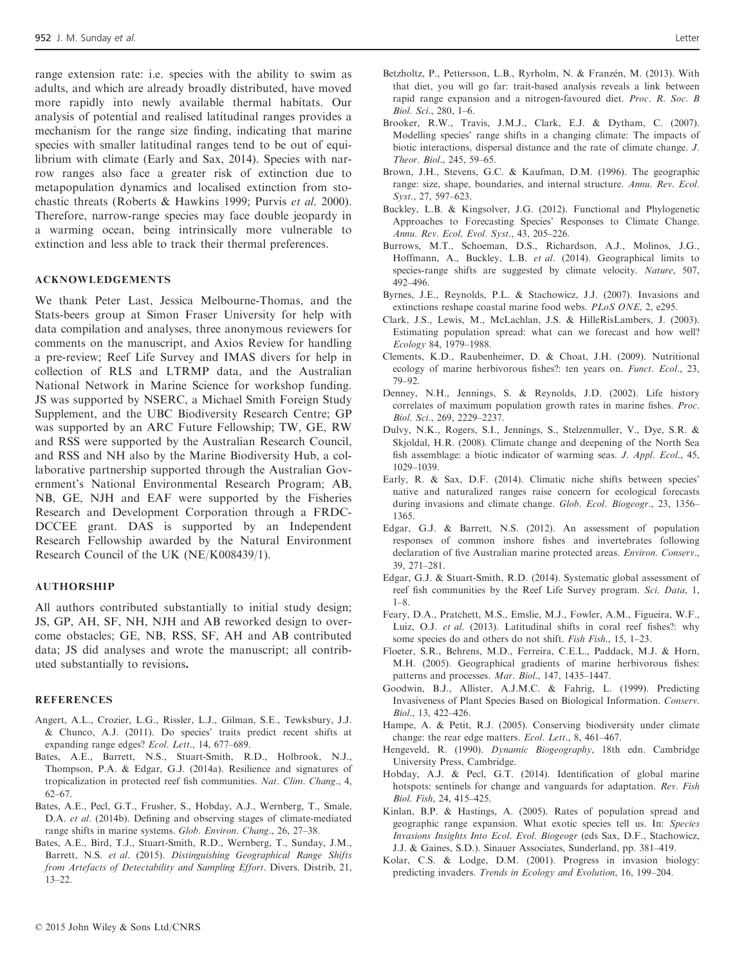range extension rate: i.e. species with the ability to swim as adults, and which are already broadly distributed, have moved more rapidly into newly available thermal habitats. Our analysis of potential and realised latitudinal ranges provides a mechanism for the range size finding, indicating that marine species with smaller latitudinal ranges tend to be out of equilibrium with climate (Early and Sax, 2014). Species with narrow ranges also face a greater risk of extinction due to metapopulation dynamics and localised extinction from stochastic threats (Roberts & Hawkins 1999; Purvis et al. 2000). Therefore, narrow-range species may face double jeopardy in a warming ocean, being intrinsically more vulnerable to extinction and less able to track their thermal preferences.

#### ACKNOWLEDGEMENTS

We thank Peter Last, Jessica Melbourne-Thomas, and the Stats-beers group at Simon Fraser University for help with data compilation and analyses, three anonymous reviewers for comments on the manuscript, and Axios Review for handling a pre-review; Reef Life Survey and IMAS divers for help in collection of RLS and LTRMP data, and the Australian National Network in Marine Science for workshop funding. JS was supported by NSERC, a Michael Smith Foreign Study Supplement, and the UBC Biodiversity Research Centre; GP was supported by an ARC Future Fellowship; TW, GE, RW and RSS were supported by the Australian Research Council, and RSS and NH also by the Marine Biodiversity Hub, a collaborative partnership supported through the Australian Government's National Environmental Research Program; AB, NB, GE, NJH and EAF were supported by the Fisheries Research and Development Corporation through a FRDC-DCCEE grant. DAS is supported by an Independent Research Fellowship awarded by the Natural Environment Research Council of the UK (NE/K008439/1).

#### AUTHORSHIP

All authors contributed substantially to initial study design; JS, GP, AH, SF, NH, NJH and AB reworked design to overcome obstacles; GE, NB, RSS, SF, AH and AB contributed data; JS did analyses and wrote the manuscript; all contributed substantially to revisions.

#### **REFERENCES**

- Angert, A.L., Crozier, L.G., Rissler, L.J., Gilman, S.E., Tewksbury, J.J. & Chunco, A.J. (2011). Do species' traits predict recent shifts at expanding range edges? Ecol. Lett., 14, 677–689.
- Bates, A.E., Barrett, N.S., Stuart-Smith, R.D., Holbrook, N.J., Thompson, P.A. & Edgar, G.J. (2014a). Resilience and signatures of tropicalization in protected reef fish communities. Nat. Clim. Chang., 4, 62–67.
- Bates, A.E., Pecl, G.T., Frusher, S., Hobday, A.J., Wernberg, T., Smale, D.A. et al. (2014b). Defining and observing stages of climate-mediated range shifts in marine systems. Glob. Environ. Chang., 26, 27–38.
- Bates, A.E., Bird, T.J., Stuart-Smith, R.D., Wernberg, T., Sunday, J.M., Barrett, N.S. et al. (2015). Distinguishing Geographical Range Shifts from Artefacts of Detectability and Sampling Effort. Divers. Distrib, 21, 13–22.
- Betzholtz, P., Pettersson, L.B., Ryrholm, N. & Franzén, M. (2013). With that diet, you will go far: trait-based analysis reveals a link between rapid range expansion and a nitrogen-favoured diet. Proc. R. Soc. B Biol. Sci., 280, 1–6.
- Brooker, R.W., Travis, J.M.J., Clark, E.J. & Dytham, C. (2007). Modelling species' range shifts in a changing climate: The impacts of biotic interactions, dispersal distance and the rate of climate change. J. Theor. Biol., 245, 59–65.
- Brown, J.H., Stevens, G.C. & Kaufman, D.M. (1996). The geographic range: size, shape, boundaries, and internal structure. Annu. Rev. Ecol. Syst., 27, 597–623.
- Buckley, L.B. & Kingsolver, J.G. (2012). Functional and Phylogenetic Approaches to Forecasting Species' Responses to Climate Change. Annu. Rev. Ecol. Evol. Syst., 43, 205–226.
- Burrows, M.T., Schoeman, D.S., Richardson, A.J., Molinos, J.G., Hoffmann, A., Buckley, L.B. et al. (2014). Geographical limits to species-range shifts are suggested by climate velocity. Nature, 507, 492–496.
- Byrnes, J.E., Reynolds, P.L. & Stachowicz, J.J. (2007). Invasions and extinctions reshape coastal marine food webs. PLoS ONE, 2, e295.
- Clark, J.S., Lewis, M., McLachlan, J.S. & HilleRisLambers, J. (2003). Estimating population spread: what can we forecast and how well? Ecology 84, 1979–1988.
- Clements, K.D., Raubenheimer, D. & Choat, J.H. (2009). Nutritional ecology of marine herbivorous fishes?: ten years on. Funct. Ecol., 23, 79–92.
- Denney, N.H., Jennings, S. & Reynolds, J.D. (2002). Life history correlates of maximum population growth rates in marine fishes. Proc. Biol. Sci., 269, 2229–2237.
- Dulvy, N.K., Rogers, S.I., Jennings, S., Stelzenmuller, V., Dye, S.R. & Skjoldal, H.R. (2008). Climate change and deepening of the North Sea fish assemblage: a biotic indicator of warming seas. J. Appl. Ecol., 45, 1029–1039.
- Early, R. & Sax, D.F. (2014). Climatic niche shifts between species' native and naturalized ranges raise concern for ecological forecasts during invasions and climate change. Glob. Ecol. Biogeogr., 23, 1356– 1365.
- Edgar, G.J. & Barrett, N.S. (2012). An assessment of population responses of common inshore fishes and invertebrates following declaration of five Australian marine protected areas. Environ. Conserv., 39, 271–281.
- Edgar, G.J. & Stuart-Smith, R.D. (2014). Systematic global assessment of reef fish communities by the Reef Life Survey program. Sci. Data, 1, 1–8.
- Feary, D.A., Pratchett, M.S., Emslie, M.J., Fowler, A.M., Figueira, W.F., Luiz, O.J. et al. (2013). Latitudinal shifts in coral reef fishes?: why some species do and others do not shift. *Fish Fish.*, 15, 1–23.
- Floeter, S.R., Behrens, M.D., Ferreira, C.E.L., Paddack, M.J. & Horn, M.H. (2005). Geographical gradients of marine herbivorous fishes: patterns and processes. Mar. Biol., 147, 1435–1447.
- Goodwin, B.J., Allister, A.J.M.C. & Fahrig, L. (1999). Predicting Invasiveness of Plant Species Based on Biological Information. Conserv. Biol., 13, 422–426.
- Hampe, A. & Petit, R.J. (2005). Conserving biodiversity under climate change: the rear edge matters. Ecol. Lett., 8, 461–467.
- Hengeveld, R. (1990). Dynamic Biogeography, 18th edn. Cambridge University Press, Cambridge.
- Hobday, A.J. & Pecl, G.T. (2014). Identification of global marine hotspots: sentinels for change and vanguards for adaptation. Rev. Fish Biol. Fish, 24, 415–425.
- Kinlan, B.P. & Hastings, A. (2005). Rates of population spread and geographic range expansion. What exotic species tell us. In: Species Invasions Insights Into Ecol. Evol. Biogeogr (eds Sax, D.F., Stachowicz, J.J. & Gaines, S.D.). Sinauer Associates, Sunderland, pp. 381–419.
- Kolar, C.S. & Lodge, D.M. (2001). Progress in invasion biology: predicting invaders. Trends in Ecology and Evolution, 16, 199–204.